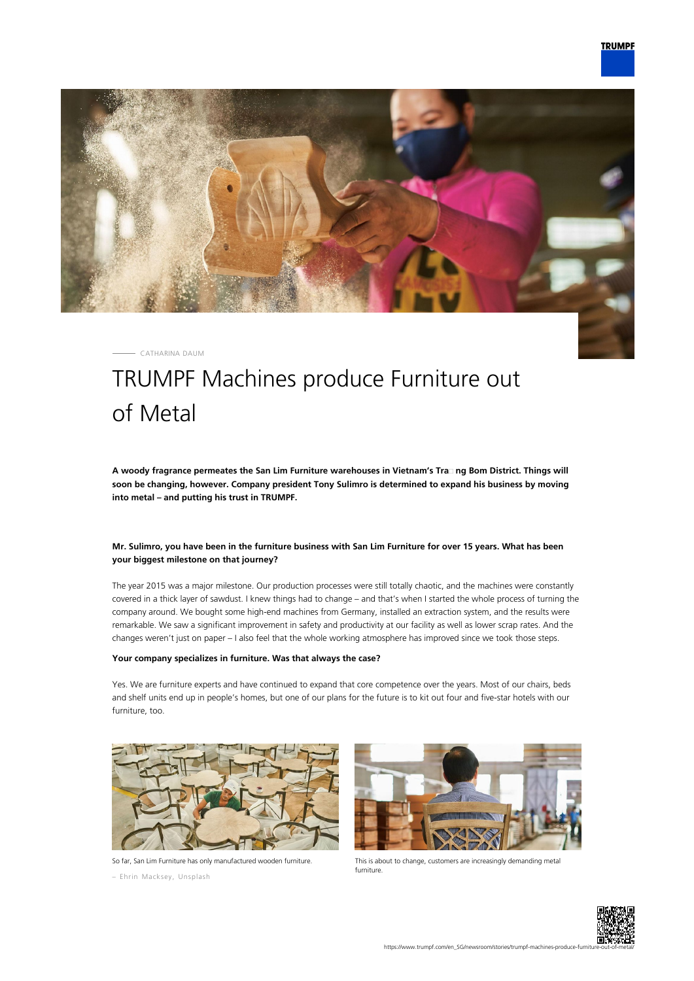

CATHARINA DAUM

# TRUMPF Machines produce Furniture out of Metal

**A woody fragrance permeates the San Lim Furniture warehouses in Vietnam's Tra᾿ ng Bom District. Things will soon be changing, however. Company president Tony Sulimro is determined to expand his business by moving into metal – and putting his trust in TRUMPF.**

## **Mr. Sulimro, you have been in the furniture business with San Lim Furniture for over 15 years. What has been your biggest milestone on that journey?**

The year 2015 was a major milestone. Our production processes were still totally chaotic, and the machines were constantly covered in a thick layer of sawdust. I knew things had to change – and that's when I started the whole process of turning the company around. We bought some high-end machines from Germany, installed an extraction system, and the results were remarkable. We saw a significant improvement in safety and productivity at our facility as well as lower scrap rates. And the changes weren't just on paper – I also feel that the whole working atmosphere has improved since we took those steps.

#### **Your company specializes in furniture. Was that always the case?**

Yes. We are furniture experts and have continued to expand that core competence over the years. Most of our chairs, beds and shelf units end up in people's homes, but one of our plans for the future is to kit out four and five-star hotels with our furniture, too.



So far, San Lim Furniture has only manufactured wooden furniture.

– Ehrin Macksey, Unsplash



This is about to change, customers are increasingly demanding metal furniture.

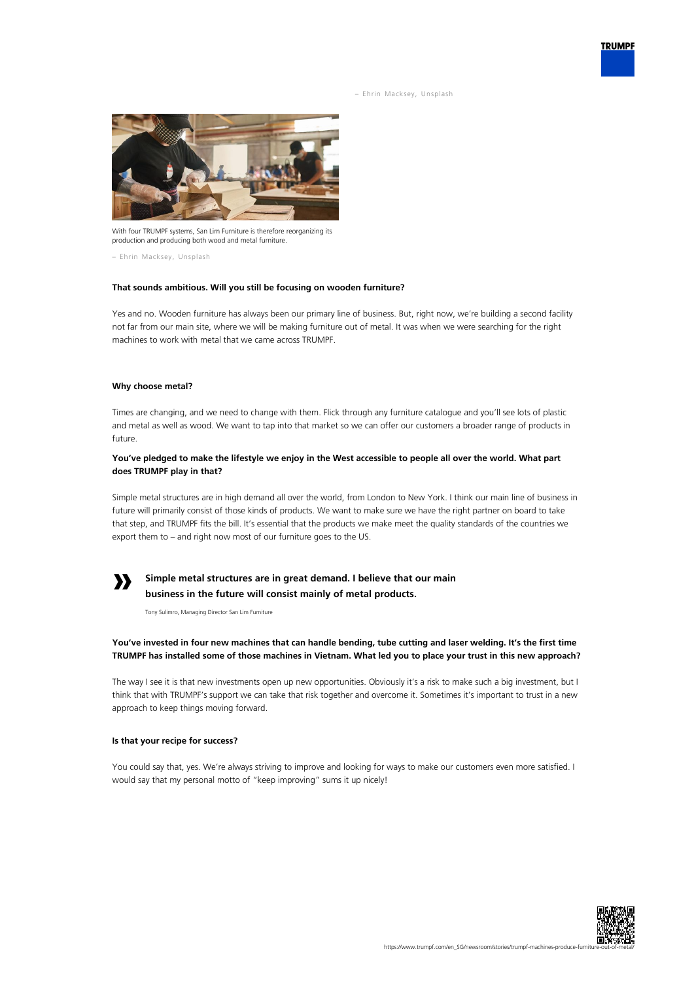– Ehrin Macksey, Unsplash



With four TRUMPF systems, San Lim Furniture is therefore reorganizing its production and producing both wood and metal furniture.

– Ehrin Macksey, Unsplash

#### **That sounds ambitious. Will you still be focusing on wooden furniture?**

Yes and no. Wooden furniture has always been our primary line of business. But, right now, we're building a second facility not far from our main site, where we will be making furniture out of metal. It was when we were searching for the right machines to work with metal that we came across TRUMPF.

#### **Why choose metal?**

Times are changing, and we need to change with them. Flick through any furniture catalogue and you'll see lots of plastic and metal as well as wood. We want to tap into that market so we can offer our customers a broader range of products in future.

## **You've pledged to make the lifestyle we enjoy in the West accessible to people all over the world. What part does TRUMPF play in that?**

Simple metal structures are in high demand all over the world, from London to New York. I think our main line of business in future will primarily consist of those kinds of products. We want to make sure we have the right partner on board to take that step, and TRUMPF fits the bill. It's essential that the products we make meet the quality standards of the countries we export them to – and right now most of our furniture goes to the US.

# **»**

# **Simple metal structures are in great demand. I believe that our main business in the future will consist mainly of metal products.**

Tony Sulimro, Managing Director San Lim Furniture

## **You've invested in four new machines that can handle bending, tube cutting and laser welding. It's the first time TRUMPF has installed some of those machines in Vietnam. What led you to place your trust in this new approach?**

The way I see it is that new investments open up new opportunities. Obviously it's a risk to make such a big investment, but I think that with TRUMPF's support we can take that risk together and overcome it. Sometimes it's important to trust in a new approach to keep things moving forward.

#### **Is that your recipe for success?**

You could say that, yes. We're always striving to improve and looking for ways to make our customers even more satisfied. I would say that my personal motto of "keep improving" sums it up nicely!



**TRUMPF**